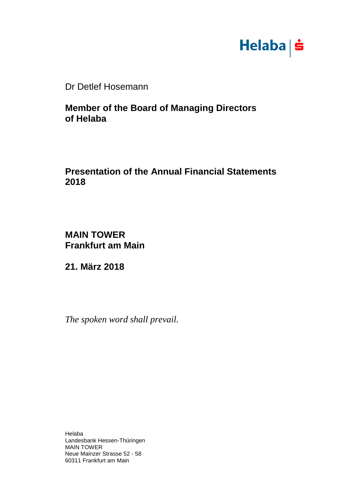

Dr Detlef Hosemann

**Member of the Board of Managing Directors of Helaba**

## **Presentation of the Annual Financial Statements 2018**

**MAIN TOWER Frankfurt am Main**

**21. März 2018**

*The spoken word shall prevail.*

Helaba Landesbank Hessen-Thüringen MAIN TOWER Neue Mainzer Strasse 52 - 58 60311 Frankfurt am Main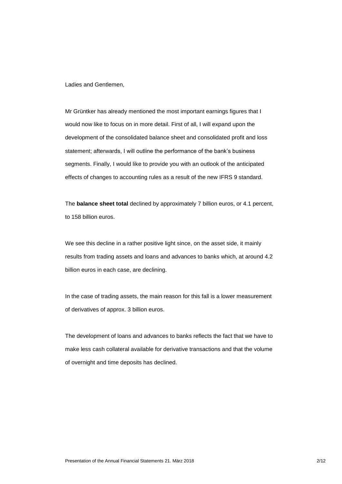Ladies and Gentlemen,

Mr Grüntker has already mentioned the most important earnings figures that I would now like to focus on in more detail. First of all, I will expand upon the development of the consolidated balance sheet and consolidated profit and loss statement; afterwards, I will outline the performance of the bank's business segments. Finally, I would like to provide you with an outlook of the anticipated effects of changes to accounting rules as a result of the new IFRS 9 standard.

The **balance sheet total** declined by approximately 7 billion euros, or 4.1 percent, to 158 billion euros.

We see this decline in a rather positive light since, on the asset side, it mainly results from trading assets and loans and advances to banks which, at around 4.2 billion euros in each case, are declining.

In the case of trading assets, the main reason for this fall is a lower measurement of derivatives of approx. 3 billion euros.

The development of loans and advances to banks reflects the fact that we have to make less cash collateral available for derivative transactions and that the volume of overnight and time deposits has declined.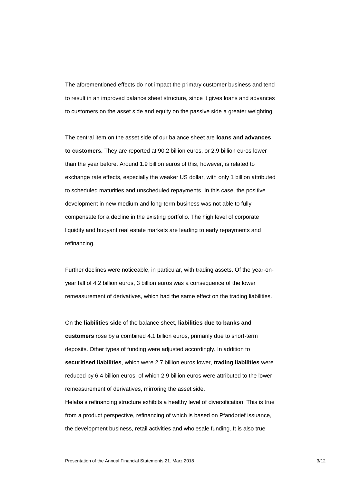The aforementioned effects do not impact the primary customer business and tend to result in an improved balance sheet structure, since it gives loans and advances to customers on the asset side and equity on the passive side a greater weighting.

The central item on the asset side of our balance sheet are **loans and advances to customers.** They are reported at 90.2 billion euros, or 2.9 billion euros lower than the year before. Around 1.9 billion euros of this, however, is related to exchange rate effects, especially the weaker US dollar, with only 1 billion attributed to scheduled maturities and unscheduled repayments. In this case, the positive development in new medium and long-term business was not able to fully compensate for a decline in the existing portfolio. The high level of corporate liquidity and buoyant real estate markets are leading to early repayments and refinancing.

Further declines were noticeable, in particular, with trading assets. Of the year-onyear fall of 4.2 billion euros, 3 billion euros was a consequence of the lower remeasurement of derivatives, which had the same effect on the trading liabilities.

On the **liabilities side** of the balance sheet, **liabilities due to banks and customers** rose by a combined 4.1 billion euros, primarily due to short-term deposits. Other types of funding were adjusted accordingly. In addition to **securitised liabilities**, which were 2.7 billion euros lower, **trading liabilities** were reduced by 6.4 billion euros, of which 2.9 billion euros were attributed to the lower remeasurement of derivatives, mirroring the asset side.

Helaba's refinancing structure exhibits a healthy level of diversification. This is true from a product perspective, refinancing of which is based on Pfandbrief issuance, the development business, retail activities and wholesale funding. It is also true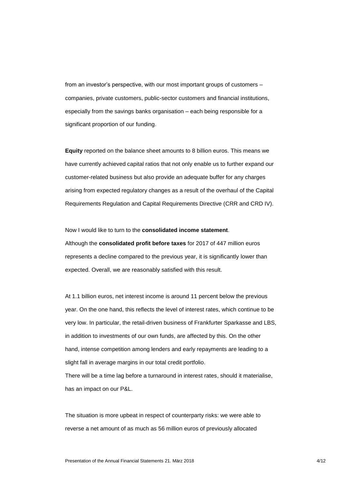from an investor's perspective, with our most important groups of customers – companies, private customers, public-sector customers and financial institutions, especially from the savings banks organisation – each being responsible for a significant proportion of our funding.

**Equity** reported on the balance sheet amounts to 8 billion euros. This means we have currently achieved capital ratios that not only enable us to further expand our customer-related business but also provide an adequate buffer for any charges arising from expected regulatory changes as a result of the overhaul of the Capital Requirements Regulation and Capital Requirements Directive (CRR and CRD IV).

Now I would like to turn to the **consolidated income statement**. Although the **consolidated profit before taxes** for 2017 of 447 million euros represents a decline compared to the previous year, it is significantly lower than expected. Overall, we are reasonably satisfied with this result.

At 1.1 billion euros, net interest income is around 11 percent below the previous year. On the one hand, this reflects the level of interest rates, which continue to be very low. In particular, the retail-driven business of Frankfurter Sparkasse and LBS, in addition to investments of our own funds, are affected by this. On the other hand, intense competition among lenders and early repayments are leading to a slight fall in average margins in our total credit portfolio.

There will be a time lag before a turnaround in interest rates, should it materialise, has an impact on our P&L.

The situation is more upbeat in respect of counterparty risks: we were able to reverse a net amount of as much as 56 million euros of previously allocated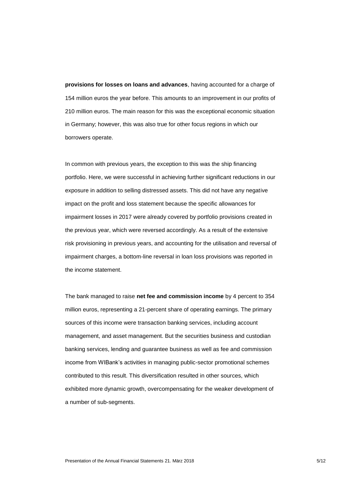**provisions for losses on loans and advances**, having accounted for a charge of 154 million euros the year before. This amounts to an improvement in our profits of 210 million euros. The main reason for this was the exceptional economic situation in Germany; however, this was also true for other focus regions in which our borrowers operate.

In common with previous years, the exception to this was the ship financing portfolio. Here, we were successful in achieving further significant reductions in our exposure in addition to selling distressed assets. This did not have any negative impact on the profit and loss statement because the specific allowances for impairment losses in 2017 were already covered by portfolio provisions created in the previous year, which were reversed accordingly. As a result of the extensive risk provisioning in previous years, and accounting for the utilisation and reversal of impairment charges, a bottom-line reversal in loan loss provisions was reported in the income statement.

The bank managed to raise **net fee and commission income** by 4 percent to 354 million euros, representing a 21-percent share of operating earnings. The primary sources of this income were transaction banking services, including account management, and asset management. But the securities business and custodian banking services, lending and guarantee business as well as fee and commission income from WIBank's activities in managing public-sector promotional schemes contributed to this result. This diversification resulted in other sources, which exhibited more dynamic growth, overcompensating for the weaker development of a number of sub-segments.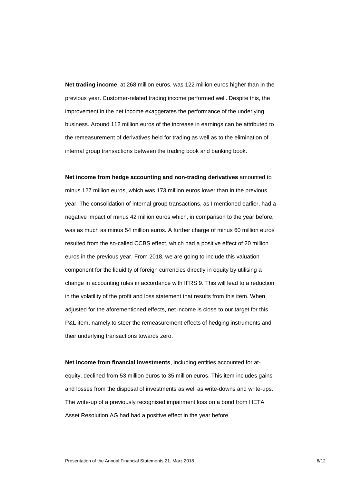**Net trading income**, at 268 million euros, was 122 million euros higher than in the previous year. Customer-related trading income performed well. Despite this, the improvement in the net income exaggerates the performance of the underlying business. Around 112 million euros of the increase in earnings can be attributed to the remeasurement of derivatives held for trading as well as to the elimination of internal group transactions between the trading book and banking book.

**Net income from hedge accounting and non-trading derivatives** amounted to minus 127 million euros, which was 173 million euros lower than in the previous year. The consolidation of internal group transactions, as I mentioned earlier, had a negative impact of minus 42 million euros which, in comparison to the year before, was as much as minus 54 million euros. A further charge of minus 60 million euros resulted from the so-called CCBS effect, which had a positive effect of 20 million euros in the previous year. From 2018, we are going to include this valuation component for the liquidity of foreign currencies directly in equity by utilising a change in accounting rules in accordance with IFRS 9. This will lead to a reduction in the volatility of the profit and loss statement that results from this item. When adjusted for the aforementioned effects, net income is close to our target for this P&L item, namely to steer the remeasurement effects of hedging instruments and their underlying transactions towards zero.

**Net income from financial investments**, including entities accounted for atequity, declined from 53 million euros to 35 million euros. This item includes gains and losses from the disposal of investments as well as write-downs and write-ups. The write-up of a previously recognised impairment loss on a bond from HETA Asset Resolution AG had had a positive effect in the year before.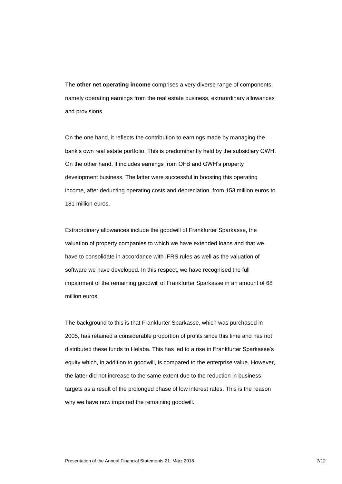The **other net operating income** comprises a very diverse range of components, namely operating earnings from the real estate business, extraordinary allowances and provisions.

On the one hand, it reflects the contribution to earnings made by managing the bank's own real estate portfolio. This is predominantly held by the subsidiary GWH. On the other hand, it includes earnings from OFB and GWH's property development business. The latter were successful in boosting this operating income, after deducting operating costs and depreciation, from 153 million euros to 181 million euros.

Extraordinary allowances include the goodwill of Frankfurter Sparkasse, the valuation of property companies to which we have extended loans and that we have to consolidate in accordance with IFRS rules as well as the valuation of software we have developed. In this respect, we have recognised the full impairment of the remaining goodwill of Frankfurter Sparkasse in an amount of 68 million euros.

The background to this is that Frankfurter Sparkasse, which was purchased in 2005, has retained a considerable proportion of profits since this time and has not distributed these funds to Helaba. This has led to a rise in Frankfurter Sparkasse's equity which, in addition to goodwill, is compared to the enterprise value. However, the latter did not increase to the same extent due to the reduction in business targets as a result of the prolonged phase of low interest rates. This is the reason why we have now impaired the remaining goodwill.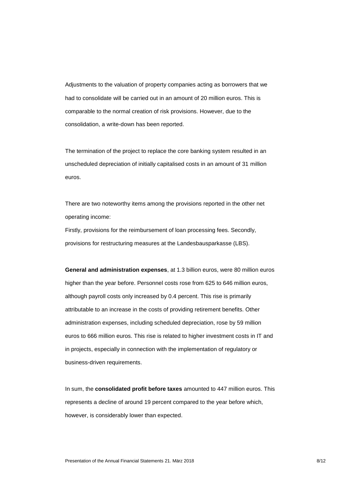Adjustments to the valuation of property companies acting as borrowers that we had to consolidate will be carried out in an amount of 20 million euros. This is comparable to the normal creation of risk provisions. However, due to the consolidation, a write-down has been reported.

The termination of the project to replace the core banking system resulted in an unscheduled depreciation of initially capitalised costs in an amount of 31 million euros.

There are two noteworthy items among the provisions reported in the other net operating income:

Firstly, provisions for the reimbursement of loan processing fees. Secondly, provisions for restructuring measures at the Landesbausparkasse (LBS).

**General and administration expenses**, at 1.3 billion euros, were 80 million euros higher than the year before. Personnel costs rose from 625 to 646 million euros, although payroll costs only increased by 0.4 percent. This rise is primarily attributable to an increase in the costs of providing retirement benefits. Other administration expenses, including scheduled depreciation, rose by 59 million euros to 666 million euros. This rise is related to higher investment costs in IT and in projects, especially in connection with the implementation of regulatory or business-driven requirements.

In sum, the **consolidated profit before taxes** amounted to 447 million euros. This represents a decline of around 19 percent compared to the year before which, however, is considerably lower than expected.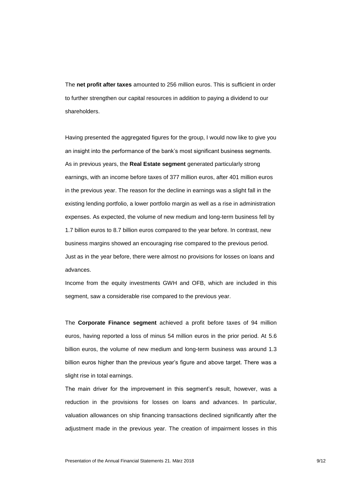The **net profit after taxes** amounted to 256 million euros. This is sufficient in order to further strengthen our capital resources in addition to paying a dividend to our shareholders.

Having presented the aggregated figures for the group, I would now like to give you an insight into the performance of the bank's most significant business segments. As in previous years, the **Real Estate segment** generated particularly strong earnings, with an income before taxes of 377 million euros, after 401 million euros in the previous year. The reason for the decline in earnings was a slight fall in the existing lending portfolio, a lower portfolio margin as well as a rise in administration expenses. As expected, the volume of new medium and long-term business fell by 1.7 billion euros to 8.7 billion euros compared to the year before. In contrast, new business margins showed an encouraging rise compared to the previous period. Just as in the year before, there were almost no provisions for losses on loans and advances.

Income from the equity investments GWH and OFB, which are included in this segment, saw a considerable rise compared to the previous year.

The **Corporate Finance segment** achieved a profit before taxes of 94 million euros, having reported a loss of minus 54 million euros in the prior period. At 5.6 billion euros, the volume of new medium and long-term business was around 1.3 billion euros higher than the previous year's figure and above target. There was a slight rise in total earnings.

The main driver for the improvement in this segment's result, however, was a reduction in the provisions for losses on loans and advances. In particular, valuation allowances on ship financing transactions declined significantly after the adjustment made in the previous year. The creation of impairment losses in this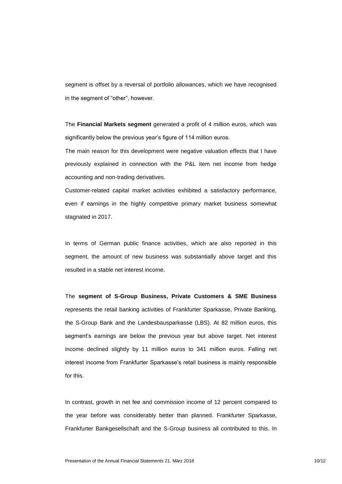segment is offset by a reversal of portfolio allowances, which we have recognised in the segment of "other", however.

The **Financial Markets segment** generated a profit of 4 million euros, which was significantly below the previous year's figure of 114 million euros.

The main reason for this development were negative valuation effects that I have previously explained in connection with the P&L item net income from hedge accounting and non-trading derivatives.

Customer-related capital market activities exhibited a satisfactory performance, even if earnings in the highly competitive primary market business somewhat stagnated in 2017.

In terms of German public finance activities, which are also reported in this segment, the amount of new business was substantially above target and this resulted in a stable net interest income.

The **segment of S-Group Business, Private Customers & SME Business** represents the retail banking activities of Frankfurter Sparkasse, Private Banking, the S-Group Bank and the Landesbausparkasse (LBS). At 82 million euros, this segment's earnings are below the previous year but above target. Net interest income declined slightly by 11 million euros to 341 million euros. Falling net interest income from Frankfurter Sparkasse's retail business is mainly responsible for this.

In contrast, growth in net fee and commission income of 12 percent compared to the year before was considerably better than planned. Frankfurter Sparkasse, Frankfurter Bankgesellschaft and the S-Group business all contributed to this. In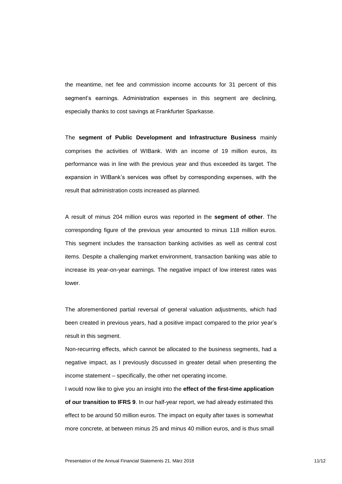the meantime, net fee and commission income accounts for 31 percent of this segment's earnings. Administration expenses in this segment are declining, especially thanks to cost savings at Frankfurter Sparkasse.

The **segment of Public Development and Infrastructure Business** mainly comprises the activities of WIBank. With an income of 19 million euros, its performance was in line with the previous year and thus exceeded its target. The expansion in WIBank's services was offset by corresponding expenses, with the result that administration costs increased as planned.

A result of minus 204 million euros was reported in the **segment of other**. The corresponding figure of the previous year amounted to minus 118 million euros. This segment includes the transaction banking activities as well as central cost items. Despite a challenging market environment, transaction banking was able to increase its year-on-year earnings. The negative impact of low interest rates was lower.

The aforementioned partial reversal of general valuation adjustments, which had been created in previous years, had a positive impact compared to the prior year's result in this segment.

Non-recurring effects, which cannot be allocated to the business segments, had a negative impact, as I previously discussed in greater detail when presenting the income statement – specifically, the other net operating income.

I would now like to give you an insight into the **effect of the first-time application of our transition to IFRS 9**. In our half-year report, we had already estimated this effect to be around 50 million euros. The impact on equity after taxes is somewhat more concrete, at between minus 25 and minus 40 million euros, and is thus small